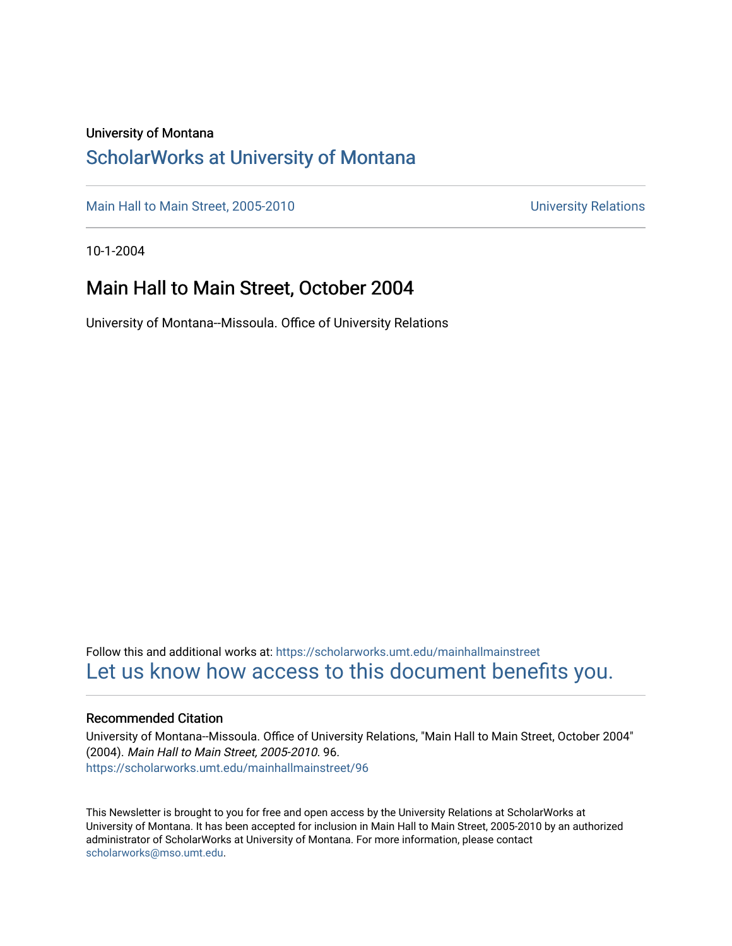#### University of Montana

#### [ScholarWorks at University of Montana](https://scholarworks.umt.edu/)

[Main Hall to Main Street, 2005-2010](https://scholarworks.umt.edu/mainhallmainstreet) Main Hall to Main Street, 2005-2010

10-1-2004

#### Main Hall to Main Street, October 2004

University of Montana--Missoula. Office of University Relations

Follow this and additional works at: [https://scholarworks.umt.edu/mainhallmainstreet](https://scholarworks.umt.edu/mainhallmainstreet?utm_source=scholarworks.umt.edu%2Fmainhallmainstreet%2F96&utm_medium=PDF&utm_campaign=PDFCoverPages) [Let us know how access to this document benefits you.](https://goo.gl/forms/s2rGfXOLzz71qgsB2) 

#### Recommended Citation

University of Montana--Missoula. Office of University Relations, "Main Hall to Main Street, October 2004" (2004). Main Hall to Main Street, 2005-2010. 96. [https://scholarworks.umt.edu/mainhallmainstreet/96](https://scholarworks.umt.edu/mainhallmainstreet/96?utm_source=scholarworks.umt.edu%2Fmainhallmainstreet%2F96&utm_medium=PDF&utm_campaign=PDFCoverPages) 

This Newsletter is brought to you for free and open access by the University Relations at ScholarWorks at University of Montana. It has been accepted for inclusion in Main Hall to Main Street, 2005-2010 by an authorized administrator of ScholarWorks at University of Montana. For more information, please contact [scholarworks@mso.umt.edu.](mailto:scholarworks@mso.umt.edu)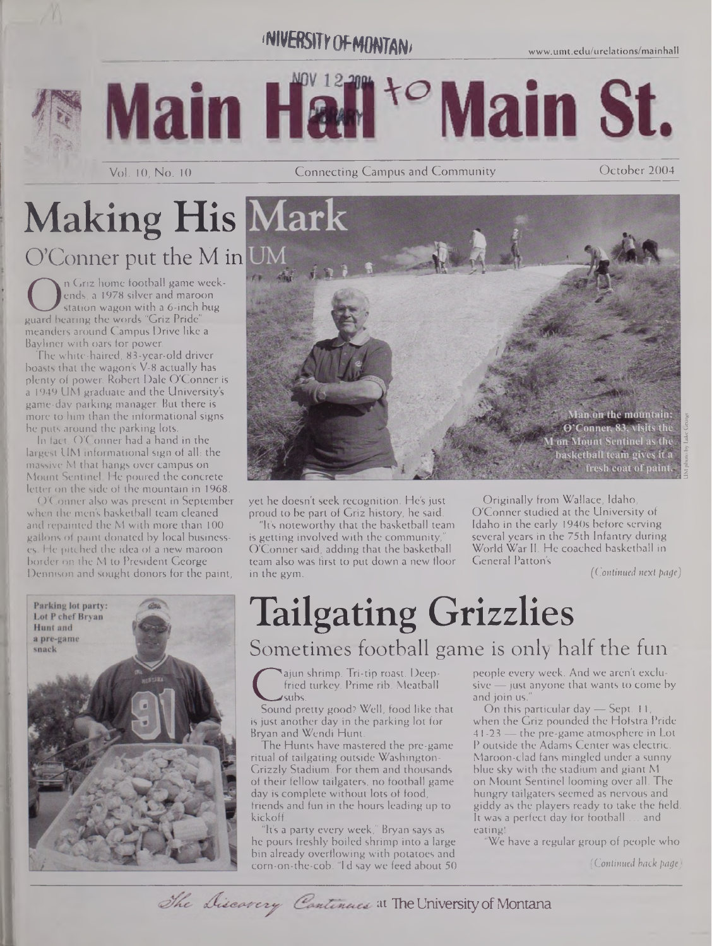### **INIVERSITY OF MONTANI**





Vol. 10, No. 10

Connecting Campus and Community **Connecting Campus and Community Connection** October 2004

## **Making His Mark** O'Conner put the M in

 $f \circ \text{dist}$ 

On Griz nome football game week-<br>ends, a 1978 silver and maroon<br>guard bearing the words "Griz Pride"<br>meanders around Campus Drive like a n Griz home football game weekends, a 1978 silver and maroon station wagon with a 6-inch bug meanders around Campus Drive like a Bayliner with oars for power.

The white-haired, 83-year-old driver boasts that the wagon's V-8 actually has plenty of power. Robert Dale O'Conner is a 1949 UM graduate and the University's game-day parking manager. But there is more to him than the informational signs he puts around the parking lots.

In fact, O'Conner had a hand in the largest UM informational sign of all: the massive M that hangs over campus on Mount Sentinel He poured the concrete letter on the side of the mountain in 1968.

O'Conner also was present in September when the men's basketball team cleaned and repainted the M with more than 100 gallons of paint donated by local businesses. He pitched the idea of a new maroon border on the M to President George Dennison and sought donors for the paint,



yet he doesn't seek recognition. He's just proud to be part of Griz history, he said.

It's noteworthy that the basketball team is getting involved with the community, O'Conner said, adding that the basketball team also was first to put down a new floor in the gym.

**M** on Mount Sentinel as the<br>basketball team gives it a fresh coat of paint.

Man on the mountain: O'Conner, 83, visits the

Originally from Wallace, Idaho, O'Conner studied at the University of Idaho in the early 1940s before serving several years in the 75th Infantry during World War II. He coached basketball in General Patton's

*(Continued next page)*

## Tailgating Grizzlies Sometimes football game is only half the fun

First processes beep-<br>fried turkey. Prime rib. Meatball<br>Sound pretty good? Well, food like that ajun shrimp. Tri-tip roast. Deepfried turkey. Prime rib. Meatball subs.

is just another day in the parking lot for Bryan and Wendi Hunt.

The Hunts have mastered the pre-game ritual of tailgating outside Washington-Grizzly Stadium. For them and thousands of their fellow tailgaters, no football game day is complete without lots of food, friends and fun in the hours leading up to kickoff.

It's a party every week," Bryan says as he pours freshly boiled shrimp into a large bin already overflowing with potatoes and corn-on-the-cob. "I'd say we feed about 50 people every week. And we aren't exclu $sive$  — just anyone that wants to come by and join us."

On this particular day — Sept. 11, when the Griz pounded the Hofstra Pride 41-23 — the pre-game atmosphere in Lot P outside the Adams Center was electric. Maroon-clad fans mingled under a sunny blue sky with the stadium and giant M on Mount Sentinel looming over all. The hungry tailgaters seemed as nervous and giddy as the players ready to take the field. It was a perfect day for football ... and eating!

"We have a regular group of people who

*(Continued back page)*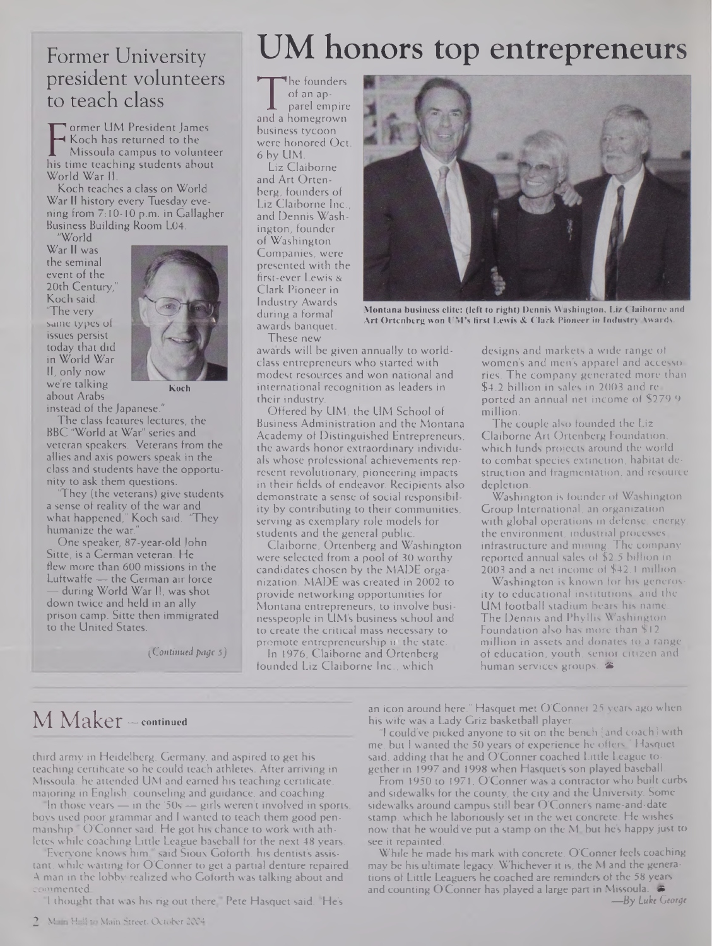#### Former University president volunteers to teach class

**F** Koch has returned to the<br>Missoula campus to volunteer<br>his time teaching students about ormer UM President James Koch has returned to the Missoula campus to volunteer World War II.

Koch teaches a class on World War II history every Tuesday evening from 7:10-10 p.m. in Gallagher Business Building Room L04.

"World War II was the seminal event of the 20th Century," Koch said. 'The very same types of issues persist today that did in World War II, only now we're talking about Arabs



**Koch**

instead of the Japanese."

The class features lectures, the BBC "World at War" series and veteran speakers. Veterans from the allies and axis powers speak in the class and students have the opportunity to ask them questions.

'They (the veterans) give students a sense of reality of the war and what happened," Koch said. 'They humanize the war.

One speaker, 87-year-old John Sitte, is a German veteran. He flew more than 600 missions in the Luftwaffe — the German air force during World War II, was shot down twice and held in an ally prison camp. Sitte then immigrated to the United States.

*(Continued page* 5J

## UM honors top entrepreneurs

The rounders<br>
of an approximately<br>
parel empire<br>
parel empire The founders of an apparel empire business tycoon were honored Oct. 6 by UM.

Liz Claiborne and Art Ortenberg, founders of Liz Claiborne Inc. and Dennis Washington, founder of Washington Companies, were presented with the first-ever Lewis & Clark Pioneer in Industry Awards during a formal awards banquet.



**Montana business elite: (left to right) Dennis Washington, Liz Claiborne and Art Ortenberg won UM's first Lewis & Clark Pioneer in Industry Awards.**

These new

awards will be given annually to worldclass entrepreneurs who started with modest resources and won national and international recognition as leaders in their industry.

Offered by UM, the UM School of Business Administration and the Montana Academy of Distinguished Entrepreneurs, the awards honor extraordinary individuals whose professional achievements represent revolutionary, pioneering impacts in their fields of endeavor. Recipients also demonstrate a sense of social responsibility by contributing to their communities, serving as exemplary role models for students and the general public.

Claiborne, Ortenberg and Washington were selected from a pool of 30 worthy candidates chosen by the MADE organization. MADE was created in 2002 to provide networking opportunities for Montana entrepreneurs, to involve businesspeople in UM's business school and to create the critical mass necessary to promote entrepreneurship if the state.

In 1976, Claiborne and Ortenberg founded Liz Claiborne Inc., which

designs and markets a wide range of women's and men's apparel and accessories. The company generated more than \$4.2 billion in sales in 2003 and reported an annual net income of \$279.9 million.

The couple also founded the Liz Claiborne Art Ortenberg Foundation, which funds projects around the world to combat species extinction, habitat destruction and fragmentation, and resource depletion.

Washington is founder of Washington Group International, an organization with global operations in defense, energy the environment, industrial processes, infrastructure and mining. The company reported annual sales of \$2.5 billion in 2003 and a net income of \$42.1 million.

Washington is known for his generosity to educational institutions, and the UM football stadium bears his name The Dennis and Phyllis Washington Foundation also has more than \$12 million in assets and donates to a range of education, youth, senior citizen and human services groups.

#### M Maker — **continued**

third army in Heidelberg, Germany, and aspired to get his teaching certificate so he could teach athletes. After arriving in Missoula, he attended UM and earned his teaching certificate, majoring in English, counseling and guidance, and coaching.

In those years  $-$  in the '50s  $-$  girls weren't involved in sports, boys used poor grammar and <sup>I</sup> wanted to teach them good penmanship," O'Conner said. He got his chance to work with athletes while coaching Little League baseball for the next 48 years.

Everyone knows him, said Sioux Goforth, his dentist's assistant, while waiting for O'Conner to get a partial denture repaired. A man in the lobby realized who Goforth was talking about and commented.

I thought that was his rig out there. Pete Hasquet said. "He's

an icon around here." Hasquet met O'Conner 25 years ago when his wife was a Lady Griz basketball player.

"1 could've picked anyone to sit on the bench [and coach] with me, but <sup>I</sup> wanted the 50 years of experience he offers,'' Hasquet said, adding that he and O'Conner coached Little League together in 1997 and 1998 when Hasquet's son played baseball.

From 1950 to 1971, O'Conner was a contractor who built curbs and sidewalks for the county, the city and the University. Some sidewalks around campus still bear O'Conner's name-and-date stamp, which he laboriously set in the wet concrete. He wishes now that he would've put a stamp on the M, but he's happy just to see it repainted.

While he made his mark with concrete, O'Conner feels coaching may be his ultimate legacy. Whichever it is, the M and the generations of Little Leaguers he coached are reminders of the 58 years and counting O'Conner has played a large part in Missoula. **«S** *—By Luke George*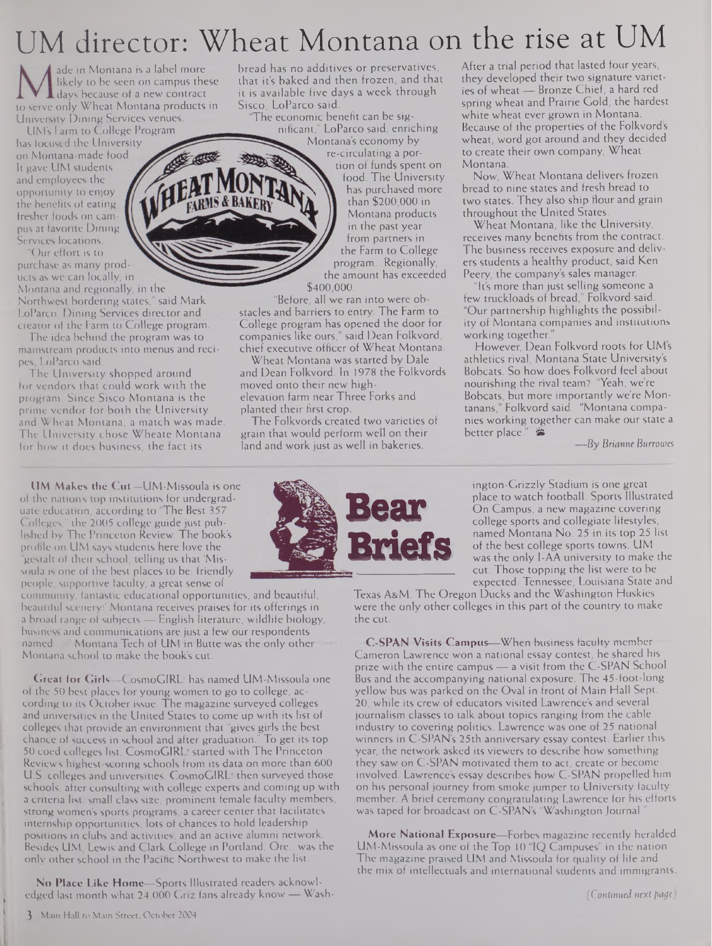## UM director: Wheat Montana on the rise at UM

ade in Montana is a label more likely to be seen on campus these **days** because of a new contract to serve only Wheat Montana products in University Dining Services venues.

UM's Farm to College Program has focused the University on Montana-made food It gave UM students and employees the opportunity to enjoy the benefits of eating fresher foods on campus at favorite Dining Services locations.

"Our effort is to purchase as many products as we can locally, in

Montana and regionally, in the Northwest bordering states," said Mark LoParco, Dining Services director and creator of the Farm to College program.

The idea behind the program was to mainstream products into menus and recipes, LoParco said.

The University shopped around for vendors that could work with the program. Since Sisco Montana is the prime vendor for both the University and Wheat Montana, a match was made. The University chose Wheate Montana for how it does business, the fact its

**UM Makes the Cut—**UM-Missoula is one of the nation's top institutions for undergraduate education, according to "The Best 357 Colleges," the 2005 college guide just published by The Princeton Review. The book's profile on L1M says students here love the "gestalt of their school, telling us that 'Missoula is one of the best places to be: friendly people, supportive faculty, a great sense of

community, fantastic educational opportunities, and beautiful, beautiful scenery!' Montana receives praises for its offerings in a broad range of subjects — English literature, wildlife biology, business and communications are just a few our respondents named ..." Montana Tech of **UM in Butte was the only** other Montana school to make the book's cut.

**Great for Girls—CosmoGIRLl** has named UM-Missoula one of the 50 best places for young women to go to college, according to its October issue. The magazine surveyed colleges and universities in the United States to come up with its list of colleges that provide an environment that "gives girls the best chance of success in school and after graduation." To get its top 50 coed colleges list, CosmoGIRL! started with The Princeton Review's highest-scoring schools from its data on more than 600 U.S. colleges and universities. CosmoGIRL: then surveyed those schools, after consulting with college experts and coming up with a criteria list: small class size, prominent female faculty members, strong women's sports programs, a career center that facilitates internship opportunities, lots of chances to hold leadership positions in clubs and activities, and an active alumni network. Besides UM, Lewis and Clark College in Portland, Ore., was the only other school in the Pacific Northwest to make the list.

**No Place Like Home—**Sports Illustrated readers acknowledged last month what 24,000 Griz fans already know — Wash-

bread has no additives or preservatives, that it's baked and then frozen, and that it is available five days a week through Sisco, LoParco said.

'The economic benefit can be significant," LoParco said, enriching Montana's economy by

**MS & BAKERY** 

re-circulating a por-

tion of funds spent on food. The University has purchased more than \$200,000 in Montana products in the past year from partners in the Farm to College program. Regionally, the amount has exceeded \$400,000.

"Before, all we ran into were obstacles and barriers to entry. The Farm to College program has opened the door for companies like ours," said Dean Folkvord, chief executive officer of Wheat Montana.

Wheat Montana was started by Dale and Dean Folkvord. In 1978 the Folkvords moved onto their new highelevation farm near Three Forks and planted their first crop.

The Folkvords created two varieties of grain that would perform well on their land and work just as well in bakeries.

After a trial period that lasted four years, they developed their two signature varieties of wheat — Bronze Chief, a hard red spring wheat and Prairie Gold, the hardest white wheat ever grown in Montana. Because of the properties of the Folkvords wheat, word got around and they decided to create their own company, Wheat Montana.

Now, Wheat Montana delivers frozen bread to nine states and fresh bread to two states. They also ship flour and grain throughout the United States.

Wheat Montana, like the University, receives many benefits from the contract. The business receives exposure and delivers students a healthy product, said Ken Peery, the company's sales manager.

It's more than just selling someone a few truckloads of bread," Folkvord said. "Our partnership highlights the possibility of Montana companies and institutions working together.

However, Dean Folkvord roots for UM's athletics rival, Montana State University's Bobcats. So how does Folkvord feel about nourishing the rival team? "Yeah, we're Bobcats, but more importantly we're Montanans," Folkvord said. "Montana companies working together can make our state a better place." 當

*—By Brianne Burrowes*

ington-Grizzly Stadium is one great place to watch football. Sports Illustrated On Campus, a new magazine covering college sports and collegiate lifestyles, named Montana No. 25 in its top 25 list of the best college sports towns. UM was the only I-AA university to make the cut. Those topping the list were to be expected: Tennessee, Louisiana State and

Texas A&M. The Oregon Ducks and the Washington Huskies were the only other colleges in this part of the country to make the cut.

**C-SPAN Visits Campus—When business** faculty member Cameron Lawrence won a national essay contest, he shared his prize with the entire campus — a visit from the C-SPAN School Bus and the accompanying national exposure. The **45-foot-long** yellow bus was parked on the Oval in front of Main Hall Sept. 20, while its crew of educators visited Lawrence's and several journalism classes to talk about topics ranging from the cable industry to covering politics. Lawrence was one of 25 national winners in C-SPAN's 25th anniversary essay contest. Earlier this year, the network asked its viewers to describe how something they saw on C-SPAN motivated them to act, create or become involved. Lawrence's essay describes how C-SPAN propelled him on his personal journey from smoke jumper to University faculty member. A brief ceremony congratulating Lawrence for his efforts was taped for broadcast on C-SPAN's "Washington Journal.

**More National Exposure—**Forbes magazine recently heralded UM-Missoula as one of the Top 10 "IQ Campuses" in the nation. The magazine praised UM and Missoula for quality of life and the mix of intellectuals and international students and immigrants.

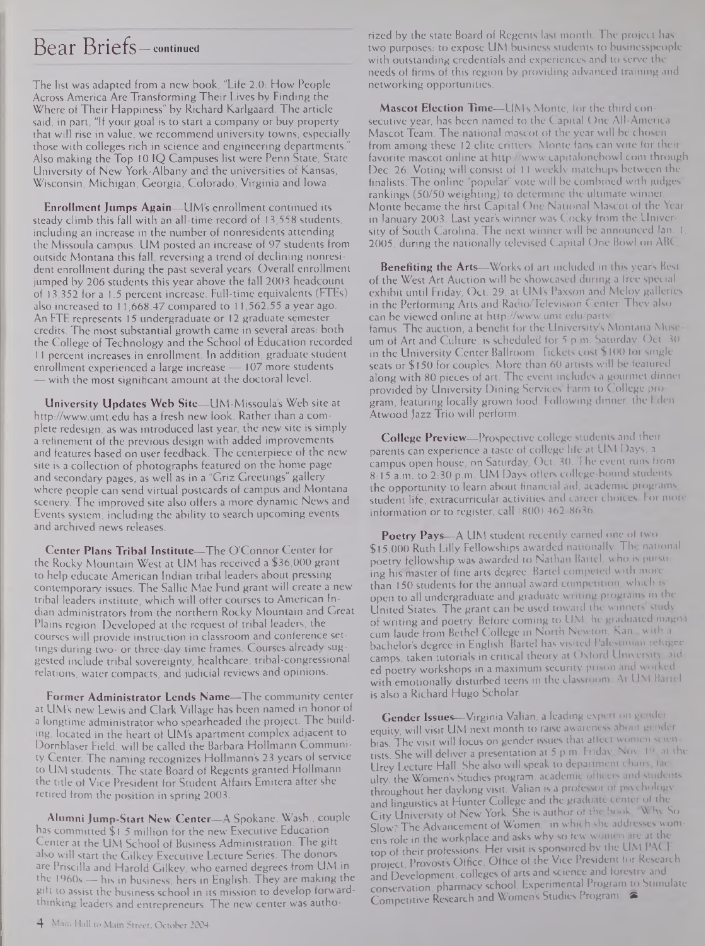#### Bear Briefs— **continued**

The list was adapted from a new book, "Life 2.0: How People Across America Are Transforming Their Lives by Finding the Where of Their Happiness" by Richard Karlgaard. The article said, in part, "If your goal is to start a company or buy property that will rise in value, we recommend university towns, especially those with colleges rich in science and engineering departments. Also making the Top 10 IQ Campuses list were Penn State, State University of New York-Albany and the universities of Kansas, Wisconsin, Michigan, Georgia, Colorado, Virginia and Iowa.

**Enrollment Jumps Again—**UM's enrollment continued its steady climb this fall with an all-time record of 13,558 students, including an increase in the number of nonresidents attending the Missoula campus. UM posted an increase of 97 students from outside Montana this fall, reversing a trend of declining nonresident enrollment during the past several years. Overall enrollment jumped by 206 students this year above the fall 2003 headcount of 13,352 for a 1.5 percent increase. Full-time equivalents (FTEs) also increased to 11,668.47 compared to 11,562.55 a year ago. An FTE represents 15 undergraduate or 12 graduate semester credits. The most substantial growth came in several areas: both the College of Technology and the School of Education recorded <sup>11</sup> percent increases in enrollment. In addition, graduate student enrollment experienced a large increase — 107 more students — with the most significant amount at the doctoral level.

**University Updates Web Site—UM-Missoula's** Web site at <http://www.umt.edu> has a fresh new look. Rather than a complete redesign, as was introduced last year, the new site is simply a refinement of the previous design with added improvements and features based on user feedback. The centerpiece of the new site is a collection of photographs featured on the home page and secondary pages, as well as in a "Griz Greetings" gallery where people can send virtual postcards of campus and Montana scenery. The improved site also offers a more dynamic News and Events system, including the ability to search upcoming events and archived news releases.

**Center Plans Tribal Institute—**The O'Connor Center for the Rocky Mountain West at UM has received a \$36,000 grant to help educate American Indian tribal leaders about pressing contemporary issues. The Sallie Mae Fund grant will create a new tribal leaders institute, which will offer courses to American Indian administrators from the northern Rocky Mountain and Great Plains region. Developed at the request of tribal leaders, the courses will provide instruction in classroom and conference settings during two- or three-day time frames. Courses already suggested include tribal sovereignty, healthcare, tribal-congressional relations, water compacts, and judicial reviews and opinions.

**Former Administrator Lends Name—**The community center at UM's new Lewis and Clark Village has been named in honor of a longtime administrator who spearheaded the project. The building, located in the heart of UM's apartment complex adjacent to Dornblaser Field, will be called the Barbara **Hollmann** Community Center. The naming recognizes Hollmann's 23 years of service to UM students. The state Board of Regents granted Hollmann the title of Vice President for Student Affairs Emitera after she retired from the position in spring 2003.

**Alumni Jump-Start New Center—**A Spokane, Wash., couple has committed \$1.5 million for the new Executive Education Center at the UM School of Business Administration. The gift also will start the Gilkey Executive Lecture Series. The donors are Priscilla and Harold Gilkey, who earned degrees from UM in the 1960s - his in business, hers in English. They are making the gift to assist the business school in its mission to develop forwardthinking leaders and entrepreneurs. The new center was authorized by the state Board of Regents last month. The project has two purposes: to expose UM business students to businesspeople with outstanding credentials and experiences and to serve the needs of firms of this region by providing advanced training and networking opportunities.

**Mascot Election Time—**UM's Monte, for the third consecutive year, has been named to the Capital One All-America. Mascot Team. The national mascot of the year will be chosen from among these 12 elite critters. Monte fans can vote for their favorite mascot online at http://www.capitalonebowl.com through Dec. 26. Voting will consist of 11 weekly matchups between the finalists. The online "popular" vote will be combined with judges' rankings (50/50 weighting) to determine the ultimate winner. Monte became the first Capital One National Mascot of the Year in January 2003. Last year's winner was Cocky from the University of South Carolina. The next winner will be announced Jan. 1, 2005, during the nationally televised Capital One Bowl on ABC.

**Benefiting the Arts—**Works of art included in this year's Best of the West Art Auction will be showcased during a free special exhibit until Friday, Oct. 29, at UM's Paxson and Meloy galleries in the Performing Arts and Radio/Television Center. They also can be viewed online at <http://www.umt.edu/partv/> famus. The auction, a benefit for the University's Montana Museum of Art and Culture, is scheduled for 5 p m. Saturday, Oct. 30, in the University Center Ballroom. Tickets cost \$100 for single seats or \$150 for couples. More than 60 artists will be featured along with 80 pieces of art. The event includes a gourmet dinner provided by University Dining Services Farm to College program, featuring locally grown food. Following dinner, the Eden Atwood Jazz Trio will perform.

**College Preview—**Prospective college students and their parents can experience a taste of college life at UM Days, a campus open house, on Saturday, Oct. 30. The event runs from 8:15 a.m. to 2:30 p.m. UM Days offers college-bound students the opportunity to learn about financial aid, academic programs, student life, extracurricular activities and career choices. For more information or to register, call (800) 462-8636.

**Poetry Pays—**A UM student recently earned one ol two \$15,000 Ruth Lilly Fellowships awarded nationally. The national poetry fellowship was awarded to Nathan Bartel, who is pursuing his master of fine arts degree. Bartel competed with more than 150 students for the annual award competition, which is open to all undergraduate and graduate writing programs in the United States. The grant can be used toward the winners study of writing and poetry. Before coming to UM, he graduated magna cum laude from Bethel College in North Newton, Kan., with a bachelor's degree in English. Bartel has visited Palestinian icfugee camps, taken tutorials in critical theory at Oxford University, aided poetry workshops in a maximum security prison and worked with emotionally disturbed teens in the classroom At UM Bartel is also a Richard Hugo Scholar.

**Gender Issues—**Virginia Valian, a leading expert on gender equity, will visit UM next month to raise awareness about gender bias. The visit will focus on gender issues that affect women scientists. She will deliver a presentation at 5 p.m. Friday Nov 19, at the Urey Lecture Hall. She also will speak to department chairs, faculty, the Women's Studies program, academic officers and students throughout her daylong visit. Valian is a professor ol psychology and linguistics at Hunter College and the graduate center of the City University of New York. She is author of the book, 'Why So Slow? The Advancement of Women," in which she addresses women's role in the workplace and asks why so few women are at the top of their professions. Her visit is sponsored by the UM PACE project, Provost's Office, Office of the Vice President for Research and Development, colleges of arts and science and forestry and conservation, pharmacy school, Experimental Program to Stimulate Competitive Research and Women's Studies Program.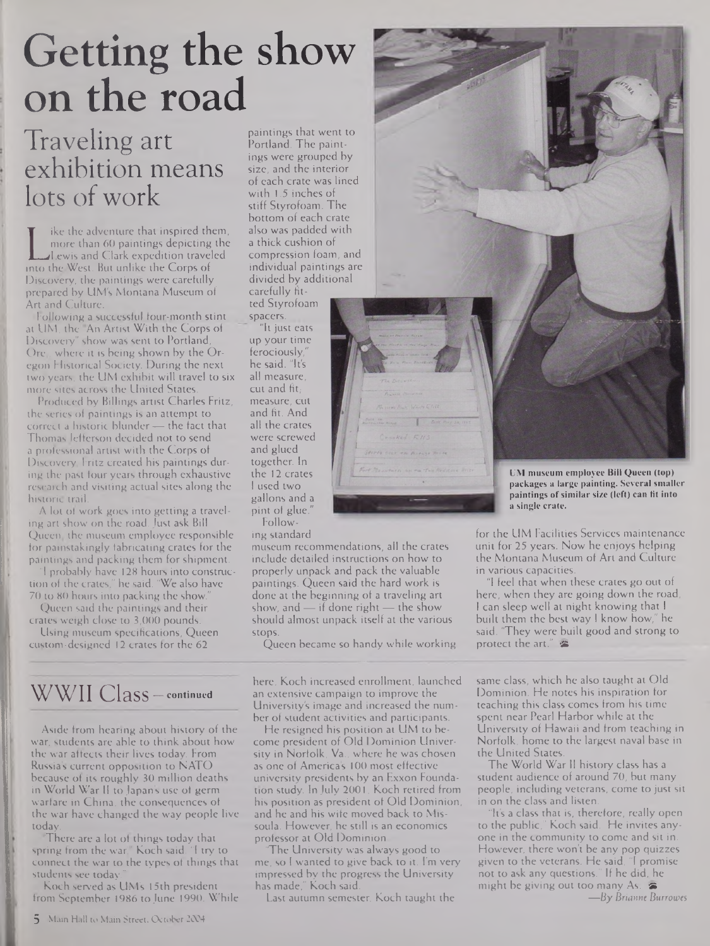# Getting the show on the road

### Traveling art exhibition means lots of work

more than 60 paintings depicting the<br>Lewis and Clark expedition traveled<br>into the West. But unlike the Corps of ike the adventure that inspired them, more than 60 paintings depicting the Lewis and Clark expedition traveled Discovery, the paintings were carefully prepared by UM's Montana Museum of Art and Culture.

Following a successful four-month stint at UM, the "An Artist With the Corps of Discovery" show was sent to Portland, Ore., where it is being shown by the Oregon Historical Society. During the next two years, the UM exhibit will travel to six more sites across the United States.

Produced by Billings artist Charles Fritz, the series of paintings is an attempt to correct a historic blunder — the fact that Thomas Jefferson decided not to send a professional artist with the Corps of Discovery. Fritz created his paintings during the past four years through exhaustive research and visiting actual sites along the historic trail.

A lol of work goes into getting a traveling art show on the road. Just ask Bill Queen, the museum employee responsible for painstakingly fabricating crates for the paintings and packing them for shipment.

"1 probably have 128 hours into construction of the crates," he said. "We also have 70 to 80 hours into packing the show."

Queen said the paintings and their

crates weigh close to 3,000 pounds. Using museum specifications, Queen custom-designed 12 crates for the 62

### WWII Class— continued

Aside from hearing about history of the war, students are able to think about how the war affects their lives today. From Russia's current opposition to NATO because of its roughly 30 million deaths in World War <sup>11</sup> to Japan's use of germ warfare in China, the consequences of the war have changed the way people live today.

'There are a lot of things today that spring from the war," Koch said. "<sup>1</sup> try to connect the war to the types of things that students see today."

Koch served as UM's 15th president from September 1986 to June 1990. While

paintings that went to Portland. The paintings were grouped by size, and the interior of each crate was lined with 1.5 inches of stiff Styrofoam. The bottom of each crate also was padded with a thick cushion of compression foam, and individual paintings are divided by additional carefully fit-

ted Styrofoam spacers.

"It just eats up your time ferociously," he said. "It's all measure, cut and fit, measure, cut and fit. And all the crates were screwed and glued together. In the 12 crates <sup>I</sup> used two gallons and a pint of glue. Follow-

ing standard

museum recommendations, all the crates include detailed instructions on how to properly unpack and pack the valuable paintings. Queen said the hard work is done at the beginning of a traveling art show, and — if done right — the show should almost unpack itself at the various stops.

Queen became so handy while working

here, Koch increased enrollment, launched an extensive campaign to improve the University's image and increased the number of student activities and participants.

He resigned his position at UM to become president of Old Dominion University in Norfolk, Va., where he was chosen as one of America's 100 most effective university presidents by an Exxon Foundation study. In July 2001, Koch retired from his position as president of Old Dominion, and he and his wife moved back to Missoula. However, he still is an economics professor at Old Dominion.

'The University was always good to me, so <sup>1</sup> wanted to give back to it. I'm very impressed by the progress the University has made," Koch said.

Last autumn semester, Koch taught the



**UM museum employee Bill Queen (top) packages a large painting. Several smaller paintings ofsimilar size (left) can fit into a single crate.**

for the UM Facilities Services maintenance unit for 25 years. Now he enjoys helping the Montana Museum of Art and Culture in various capacities.

"1 feel that when these crates go out of here, when they are going down the road, <sup>1</sup> can sleep well at night knowing that <sup>I</sup> built them the best way <sup>I</sup> know how," he said. 'They were built good and strong to protect the art."

same class, which he also taught at Old Dominion. He notes his inspiration for teaching this class comes from his time spent near Pearl Harbor while at the University of Hawaii and from teaching in Norfolk, home to the largest naval base in the United States.

The World War II history class has a student audience of around 70, but many people, including veterans, come to just sit in on the class and listen.

It's a class that is, therefore, really open to the public," Koch said. He invites anyone in the community to come and sit in. However, there won't be any pop quizzes given to the veterans. He said, "I promise not to ask any questions." If he did, he might be giving out too many As.  $\blacktriangleright$ *—By Brianne Burroioes*